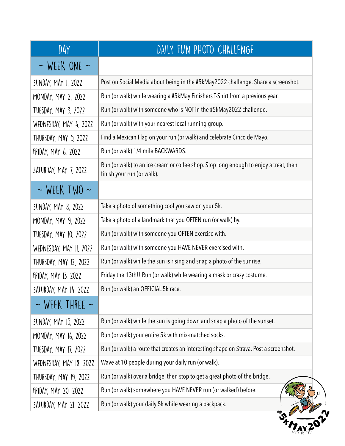| DAY                      | DAILY FUN PHOTO CHALLENGE                                                                                           |
|--------------------------|---------------------------------------------------------------------------------------------------------------------|
| $\sim$ WEEK ONE $\sim$   |                                                                                                                     |
| SUNDAY, MAY 1, 2022      | Post on Social Media about being in the #5kMay2022 challenge. Share a screenshot.                                   |
| MONDAY, MAY 2, 2022      | Run (or walk) while wearing a #5kMay Finishers T-Shirt from a previous year.                                        |
| TUESDAY, MAY 3, 2022     | Run (or walk) with someone who is NOT in the #5kMay2022 challenge.                                                  |
| WEDNESDAY, MAY 4, 2022   | Run (or walk) with your nearest local running group.                                                                |
| THURSDAY, MAY 5, 2022    | Find a Mexican Flag on your run (or walk) and celebrate Cinco de Mayo.                                              |
| FRIDAY, MAY 6, 2022      | Run (or walk) 1/4 mile BACKWARDS.                                                                                   |
| SATURDAY, MAY 7, 2022    | Run (or walk) to an ice cream or coffee shop. Stop long enough to enjoy a treat, then<br>finish your run (or walk). |
| $\sim$ WEEK TWO $\sim$   |                                                                                                                     |
| SUNDAY, MAY 8, 2022      | Take a photo of something cool you saw on your 5k.                                                                  |
| MONDAY, MAY 9, 2022      | Take a photo of a landmark that you OFTEN run (or walk) by.                                                         |
| TUESDAY, MAY 10, 2022    | Run (or walk) with someone you OFTEN exercise with.                                                                 |
| WEDNESDAY, MAY II, 2022  | Run (or walk) with someone you HAVE NEVER exercised with.                                                           |
| THURSDAY, MAY 12, 2022   | Run (or walk) while the sun is rising and snap a photo of the sunrise.                                              |
| FRIDAY, MAY 13, 2022     | Friday the 13th!! Run (or walk) while wearing a mask or crazy costume.                                              |
| SATURDAY, MAY 14, 2022   | Run (or walk) an OFFICIAL 5k race.                                                                                  |
| $\sim$ WEEK THREE $\sim$ |                                                                                                                     |
| SUNDAY, MAY 15, 2022     | Run (or walk) while the sun is going down and snap a photo of the sunset.                                           |
| MONDAY, MAY 16, 2022     | Run (or walk) your entire 5k with mix-matched socks.                                                                |
| TUESDAY, MAY 17, 2022    | Run (or walk) a route that creates an interesting shape on Strava. Post a screenshot.                               |
| WEDNESDAY, MAY 18, 2022  | Wave at 10 people during your daily run (or walk).                                                                  |
| THURSDAY, MAY 19, 2022   | Run (or walk) over a bridge, then stop to get a great photo of the bridge.                                          |
|                          | Run (or walk) somewhere you HAVE NEVER run (or walked) before.                                                      |
| FRIDAY, MAY 20, 2022     |                                                                                                                     |